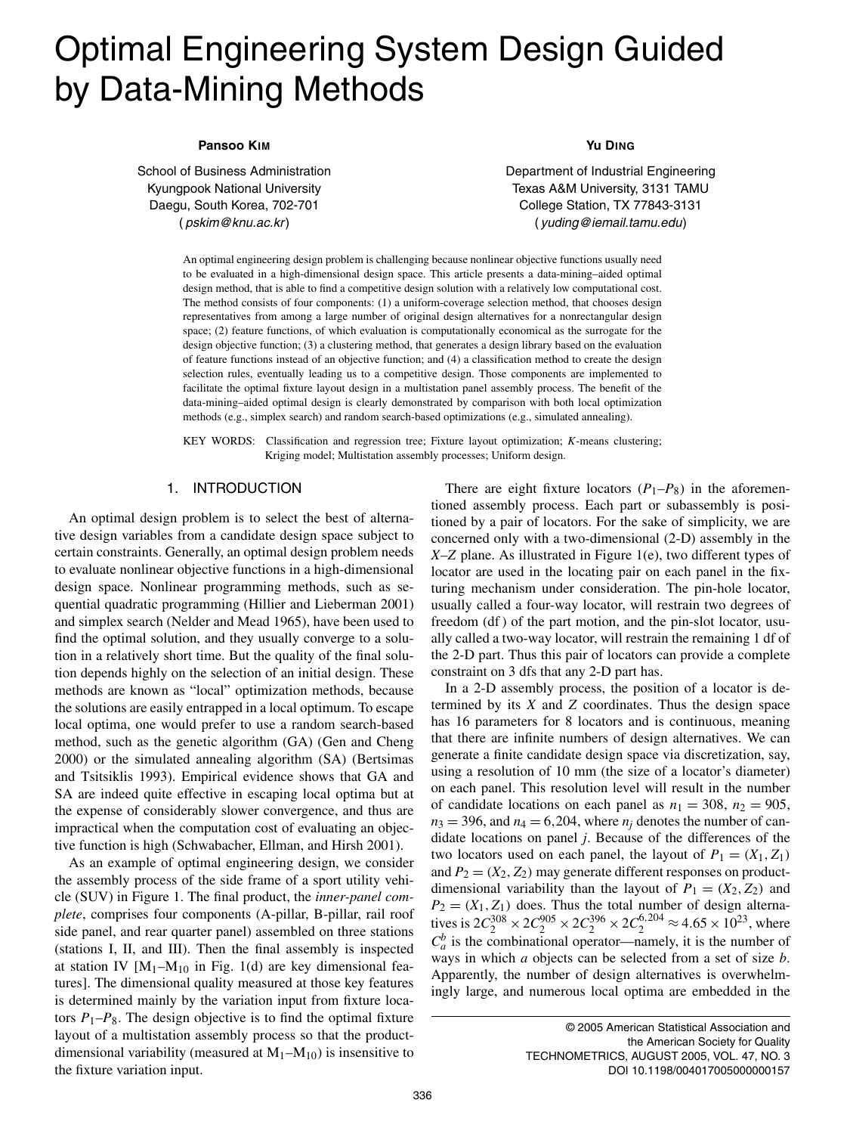# **Optimal Engineering System Design Guided** by Data-Mining Methods

## Pansoo KIM

School of Business Administration **Kyungpook National University** Daegu, South Korea, 702-701 (pskim@knu.ac.kr)

## **Yu DING**

Department of Industrial Engineering Texas A&M University, 3131 TAMU College Station, TX 77843-3131 (yuding@iemail.tamu.edu)

An optimal engineering design problem is challenging because nonlinear objective functions usually need to be evaluated in a high-dimensional design space. This article presents a data-mining-aided optimal design method, that is able to find a competitive design solution with a relatively low computational cost. The method consists of four components: (1) a uniform-coverage selection method, that chooses design representatives from among a large number of original design alternatives for a nonrectangular design space; (2) feature functions, of which evaluation is computationally economical as the surrogate for the design objective function; (3) a clustering method, that generates a design library based on the evaluation of feature functions instead of an objective function; and (4) a classification method to create the design selection rules, eventually leading us to a competitive design. Those components are implemented to facilitate the optimal fixture layout design in a multistation panel assembly process. The benefit of the data-mining-aided optimal design is clearly demonstrated by comparison with both local optimization methods (e.g., simplex search) and random search-based optimizations (e.g., simulated annealing).

KEY WORDS: Classification and regression tree; Fixture layout optimization; K-means clustering; Kriging model; Multistation assembly processes; Uniform design.

#### **INTRODUCTION**  $\mathbf{1}$ .

An optimal design problem is to select the best of alternative design variables from a candidate design space subject to certain constraints. Generally, an optimal design problem needs to evaluate nonlinear objective functions in a high-dimensional design space. Nonlinear programming methods, such as sequential quadratic programming (Hillier and Lieberman 2001) and simplex search (Nelder and Mead 1965), have been used to find the optimal solution, and they usually converge to a solution in a relatively short time. But the quality of the final solution depends highly on the selection of an initial design. These methods are known as "local" optimization methods, because the solutions are easily entrapped in a local optimum. To escape local optima, one would prefer to use a random search-based method, such as the genetic algorithm (GA) (Gen and Cheng 2000) or the simulated annealing algorithm (SA) (Bertsimas and Tsitsiklis 1993). Empirical evidence shows that GA and SA are indeed quite effective in escaping local optima but at the expense of considerably slower convergence, and thus are impractical when the computation cost of evaluating an objective function is high (Schwabacher, Ellman, and Hirsh 2001).

As an example of optimal engineering design, we consider the assembly process of the side frame of a sport utility vehicle (SUV) in Figure 1. The final product, the *inner-panel complete*, comprises four components (A-pillar, B-pillar, rail roof side panel, and rear quarter panel) assembled on three stations (stations I, II, and III). Then the final assembly is inspected at station IV  $[M_1-M_{10}]$  in Fig. 1(d) are key dimensional features]. The dimensional quality measured at those key features is determined mainly by the variation input from fixture locators  $P_1-P_8$ . The design objective is to find the optimal fixture layout of a multistation assembly process so that the productdimensional variability (measured at  $M_1-M_{10}$ ) is insensitive to the fixture variation input.

There are eight fixture locators  $(P_1-P_8)$  in the aforementioned assembly process. Each part or subassembly is positioned by a pair of locators. For the sake of simplicity, we are concerned only with a two-dimensional (2-D) assembly in the  $X-Z$  plane. As illustrated in Figure 1(e), two different types of locator are used in the locating pair on each panel in the fixturing mechanism under consideration. The pin-hole locator, usually called a four-way locator, will restrain two degrees of freedom (df) of the part motion, and the pin-slot locator, usually called a two-way locator, will restrain the remaining 1 df of the 2-D part. Thus this pair of locators can provide a complete constraint on 3 dfs that any 2-D part has.

In a 2-D assembly process, the position of a locator is determined by its  $X$  and  $Z$  coordinates. Thus the design space has 16 parameters for 8 locators and is continuous, meaning that there are infinite numbers of design alternatives. We can generate a finite candidate design space via discretization, say, using a resolution of 10 mm (the size of a locator's diameter) on each panel. This resolution level will result in the number of candidate locations on each panel as  $n_1 = 308$ ,  $n_2 = 905$ ,  $n_3 = 396$ , and  $n_4 = 6,204$ , where  $n_i$  denotes the number of candidate locations on panel  $j$ . Because of the differences of the two locators used on each panel, the layout of  $P_1 = (X_1, Z_1)$ and  $P_2 = (X_2, Z_2)$  may generate different responses on productdimensional variability than the layout of  $P_1 = (X_2, Z_2)$  and  $P_2 = (X_1, Z_1)$  does. Thus the total number of design alternatives is  $2C_2^{308} \times 2C_2^{905} \times 2C_2^{396} \times 2C_2^{6,204} \approx 4.65 \times 10^{23}$ , where  $C_a^b$  is the combinational operator—namely, it is the number of ways in which  $a$  objects can be selected from a set of size  $b$ . Apparently, the number of design alternatives is overwhelmingly large, and numerous local optima are embedded in the

<sup>© 2005</sup> American Statistical Association and the American Society for Quality TECHNOMETRICS, AUGUST 2005, VOL. 47, NO. 3 DOI 10.1198/004017005000000157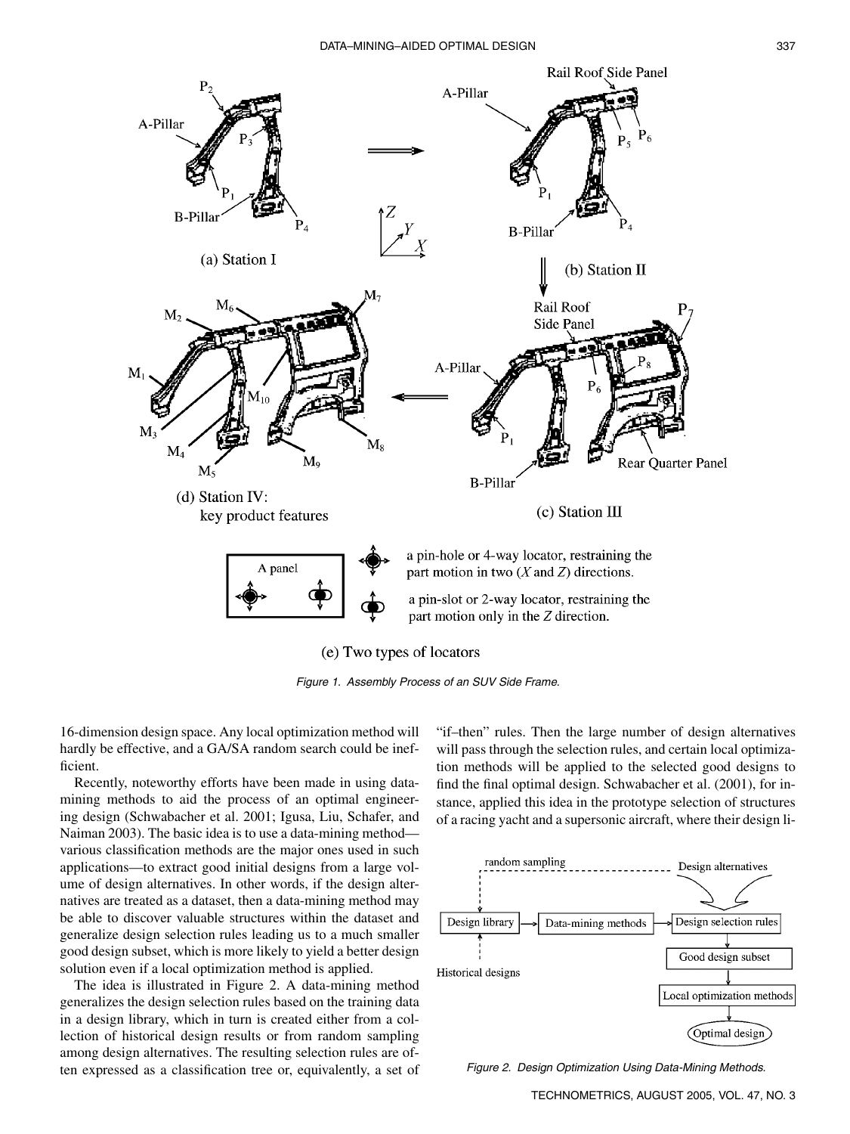

(e) Two types of locators

Figure 1. Assembly Process of an SUV Side Frame.

16-dimension design space. Any local optimization method will hardly be effective, and a GA/SA random search could be inefficient.

Recently, noteworthy efforts have been made in using datamining methods to aid the process of an optimal engineering design (Schwabacher et al. 2001; Igusa, Liu, Schafer, and Naiman 2003). The basic idea is to use a data-mining method various classification methods are the major ones used in such applications—to extract good initial designs from a large volume of design alternatives. In other words, if the design alternatives are treated as a dataset, then a data-mining method may be able to discover valuable structures within the dataset and generalize design selection rules leading us to a much smaller good design subset, which is more likely to yield a better design solution even if a local optimization method is applied.

The idea is illustrated in Figure 2. A data-mining method generalizes the design selection rules based on the training data in a design library, which in turn is created either from a collection of historical design results or from random sampling among design alternatives. The resulting selection rules are often expressed as a classification tree or, equivalently, a set of "if-then" rules. Then the large number of design alternatives will pass through the selection rules, and certain local optimization methods will be applied to the selected good designs to find the final optimal design. Schwabacher et al. (2001), for instance, applied this idea in the prototype selection of structures of a racing yacht and a supersonic aircraft, where their design li-



Figure 2. Design Optimization Using Data-Mining Methods.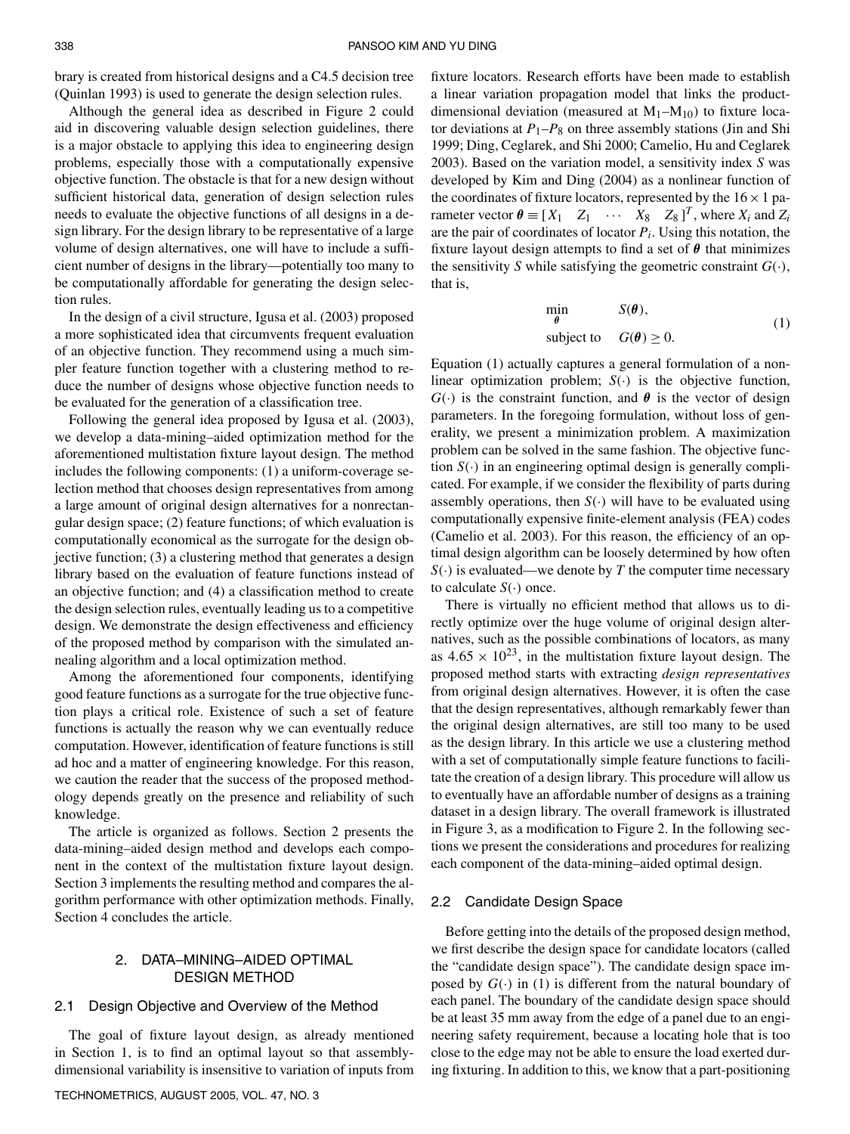brary is created from historical designs and a C4.5 decision tree (Quinlan 1993) is used to generate the design selection rules.

Although the general idea as described in Figure 2 could aid in discovering valuable design selection guidelines, there is a major obstacle to applying this idea to engineering design problems, especially those with a computationally expensive objective function. The obstacle is that for a new design without sufficient historical data, generation of design selection rules needs to evaluate the objective functions of all designs in a design library. For the design library to be representative of a large volume of design alternatives, one will have to include a sufficient number of designs in the library—potentially too many to be computationally affordable for generating the design selection rules.

In the design of a civil structure, Igusa et al. (2003) proposed a more sophisticated idea that circumvents frequent evaluation of an objective function. They recommend using a much simpler feature function together with a clustering method to reduce the number of designs whose objective function needs to be evaluated for the generation of a classification tree.

Following the general idea proposed by Igusa et al. (2003), we develop a data-mining-aided optimization method for the aforementioned multistation fixture layout design. The method includes the following components: (1) a uniform-coverage selection method that chooses design representatives from among a large amount of original design alternatives for a nonrectangular design space; (2) feature functions; of which evaluation is computationally economical as the surrogate for the design objective function; (3) a clustering method that generates a design library based on the evaluation of feature functions instead of an objective function; and (4) a classification method to create the design selection rules, eventually leading us to a competitive design. We demonstrate the design effectiveness and efficiency of the proposed method by comparison with the simulated annealing algorithm and a local optimization method.

Among the aforementioned four components, identifying good feature functions as a surrogate for the true objective function plays a critical role. Existence of such a set of feature functions is actually the reason why we can eventually reduce computation. However, identification of feature functions is still ad hoc and a matter of engineering knowledge. For this reason, we caution the reader that the success of the proposed methodology depends greatly on the presence and reliability of such knowledge.

The article is organized as follows. Section 2 presents the data-mining-aided design method and develops each component in the context of the multistation fixture layout design. Section 3 implements the resulting method and compares the algorithm performance with other optimization methods. Finally, Section 4 concludes the article.

# 2. DATA-MINING-AIDED OPTIMAL **DESIGN METHOD**

#### $2.1$ Design Objective and Overview of the Method

The goal of fixture layout design, as already mentioned in Section 1, is to find an optimal layout so that assemblydimensional variability is insensitive to variation of inputs from fixture locators. Research efforts have been made to establish a linear variation propagation model that links the productdimensional deviation (measured at  $M_1-M_{10}$ ) to fixture locator deviations at  $P_1-P_8$  on three assembly stations (Jin and Shi 1999; Ding, Ceglarek, and Shi 2000; Camelio, Hu and Ceglarek 2003). Based on the variation model, a sensitivity index  $S$  was developed by Kim and Ding (2004) as a nonlinear function of the coordinates of fixture locators, represented by the  $16 \times 1$  parameter vector  $\theta \equiv [X_1 \quad Z_1 \quad \cdots \quad X_8 \quad Z_8]^{T}$ , where  $X_i$  and  $Z_i$ are the pair of coordinates of locator  $P_i$ . Using this notation, the fixture layout design attempts to find a set of  $\theta$  that minimizes the sensitivity S while satisfying the geometric constraint  $G(\cdot)$ , that is,

$$
\min_{\theta} S(\theta),
$$
  
subject to  $G(\theta) \ge 0.$  (1)

Equation (1) actually captures a general formulation of a nonlinear optimization problem;  $S(\cdot)$  is the objective function,  $G(\cdot)$  is the constraint function, and  $\theta$  is the vector of design parameters. In the foregoing formulation, without loss of generality, we present a minimization problem. A maximization problem can be solved in the same fashion. The objective function  $S(\cdot)$  in an engineering optimal design is generally complicated. For example, if we consider the flexibility of parts during assembly operations, then  $S(\cdot)$  will have to be evaluated using computationally expensive finite-element analysis (FEA) codes (Camelio et al. 2003). For this reason, the efficiency of an optimal design algorithm can be loosely determined by how often  $S(\cdot)$  is evaluated—we denote by T the computer time necessary to calculate  $S(\cdot)$  once.

There is virtually no efficient method that allows us to directly optimize over the huge volume of original design alternatives, such as the possible combinations of locators, as many as  $4.65 \times 10^{23}$ , in the multistation fixture layout design. The proposed method starts with extracting design representatives from original design alternatives. However, it is often the case that the design representatives, although remarkably fewer than the original design alternatives, are still too many to be used as the design library. In this article we use a clustering method with a set of computationally simple feature functions to facilitate the creation of a design library. This procedure will allow us to eventually have an affordable number of designs as a training dataset in a design library. The overall framework is illustrated in Figure 3, as a modification to Figure 2. In the following sections we present the considerations and procedures for realizing each component of the data-mining-aided optimal design.

#### **Candidate Design Space**  $2.2$

Before getting into the details of the proposed design method, we first describe the design space for candidate locators (called the "candidate design space"). The candidate design space imposed by  $G(\cdot)$  in (1) is different from the natural boundary of each panel. The boundary of the candidate design space should be at least 35 mm away from the edge of a panel due to an engineering safety requirement, because a locating hole that is too close to the edge may not be able to ensure the load exerted during fixturing. In addition to this, we know that a part-positioning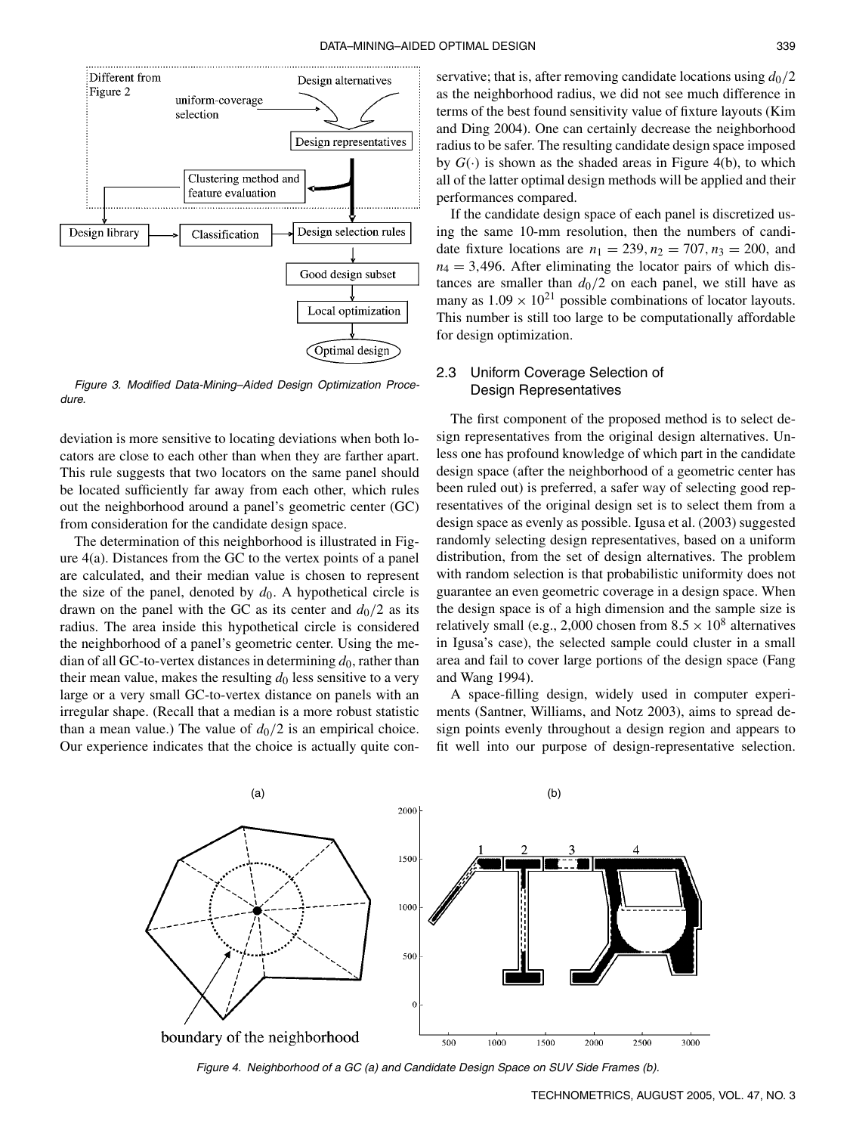

Figure 3. Modified Data-Mining-Aided Design Optimization Procedure.

deviation is more sensitive to locating deviations when both locators are close to each other than when they are farther apart. This rule suggests that two locators on the same panel should be located sufficiently far away from each other, which rules out the neighborhood around a panel's geometric center (GC) from consideration for the candidate design space.

The determination of this neighborhood is illustrated in Figure  $4(a)$ . Distances from the GC to the vertex points of a panel are calculated, and their median value is chosen to represent the size of the panel, denoted by  $d_0$ . A hypothetical circle is drawn on the panel with the GC as its center and  $d_0/2$  as its radius. The area inside this hypothetical circle is considered the neighborhood of a panel's geometric center. Using the median of all GC-to-vertex distances in determining  $d_0$ , rather than their mean value, makes the resulting  $d_0$  less sensitive to a very large or a very small GC-to-vertex distance on panels with an irregular shape. (Recall that a median is a more robust statistic than a mean value.) The value of  $d_0/2$  is an empirical choice. Our experience indicates that the choice is actually quite conservative; that is, after removing candidate locations using  $d_0/2$ as the neighborhood radius, we did not see much difference in terms of the best found sensitivity value of fixture layouts (Kim and Ding 2004). One can certainly decrease the neighborhood radius to be safer. The resulting candidate design space imposed by  $G(\cdot)$  is shown as the shaded areas in Figure 4(b), to which all of the latter optimal design methods will be applied and their performances compared.

If the candidate design space of each panel is discretized using the same 10-mm resolution, then the numbers of candidate fixture locations are  $n_1 = 239, n_2 = 707, n_3 = 200$ , and  $n_4 = 3,496$ . After eliminating the locator pairs of which distances are smaller than  $d_0/2$  on each panel, we still have as many as  $1.09 \times 10^{21}$  possible combinations of locator layouts. This number is still too large to be computationally affordable for design optimization.

## $2.3$ Uniform Coverage Selection of Design Representatives

The first component of the proposed method is to select design representatives from the original design alternatives. Unless one has profound knowledge of which part in the candidate design space (after the neighborhood of a geometric center has been ruled out) is preferred, a safer way of selecting good representatives of the original design set is to select them from a design space as evenly as possible. Igusa et al. (2003) suggested randomly selecting design representatives, based on a uniform distribution, from the set of design alternatives. The problem with random selection is that probabilistic uniformity does not guarantee an even geometric coverage in a design space. When the design space is of a high dimension and the sample size is relatively small (e.g., 2,000 chosen from  $8.5 \times 10^8$  alternatives in Igusa's case), the selected sample could cluster in a small area and fail to cover large portions of the design space (Fang and Wang 1994).

A space-filling design, widely used in computer experiments (Santner, Williams, and Notz 2003), aims to spread design points evenly throughout a design region and appears to fit well into our purpose of design-representative selection.



Figure 4. Neighborhood of a GC (a) and Candidate Design Space on SUV Side Frames (b).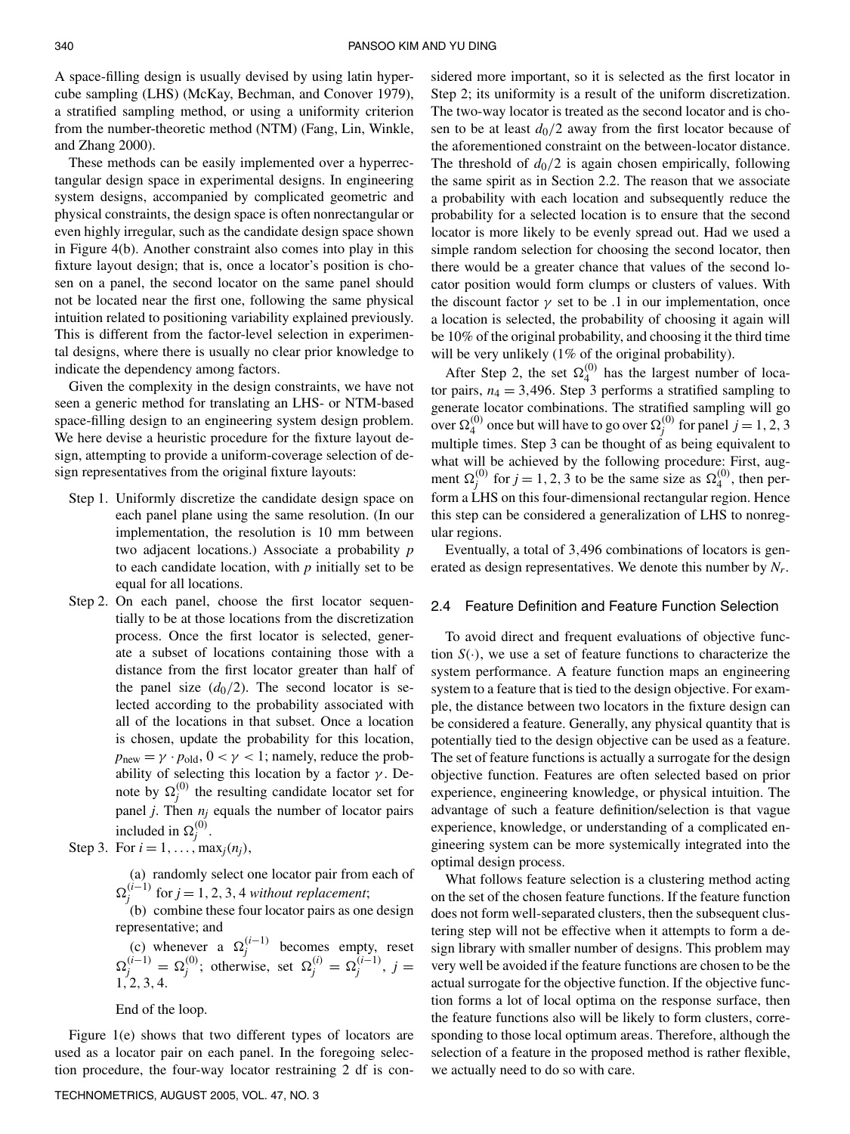A space-filling design is usually devised by using latin hypercube sampling (LHS) (McKay, Bechman, and Conover 1979), a stratified sampling method, or using a uniformity criterion from the number-theoretic method (NTM) (Fang, Lin, Winkle, and Zhang 2000).

These methods can be easily implemented over a hyperrectangular design space in experimental designs. In engineering system designs, accompanied by complicated geometric and physical constraints, the design space is often nonrectangular or even highly irregular, such as the candidate design space shown in Figure 4(b). Another constraint also comes into play in this fixture layout design; that is, once a locator's position is chosen on a panel, the second locator on the same panel should not be located near the first one, following the same physical intuition related to positioning variability explained previously. This is different from the factor-level selection in experimental designs, where there is usually no clear prior knowledge to indicate the dependency among factors.

Given the complexity in the design constraints, we have not seen a generic method for translating an LHS- or NTM-based space-filling design to an engineering system design problem. We here devise a heuristic procedure for the fixture layout design, attempting to provide a uniform-coverage selection of design representatives from the original fixture layouts:

- Step 1. Uniformly discretize the candidate design space on each panel plane using the same resolution. (In our implementation, the resolution is 10 mm between two adjacent locations.) Associate a probability  $p$ to each candidate location, with  $p$  initially set to be equal for all locations.
- Step 2. On each panel, choose the first locator sequentially to be at those locations from the discretization process. Once the first locator is selected, generate a subset of locations containing those with a distance from the first locator greater than half of the panel size  $(d_0/2)$ . The second locator is selected according to the probability associated with all of the locations in that subset. Once a location is chosen, update the probability for this location,  $p_{\text{new}} = \gamma \cdot p_{\text{old}}$ ,  $0 < \gamma < 1$ ; namely, reduce the probability of selecting this location by a factor  $\gamma$ . Denote by  $\Omega_i^{(0)}$  the resulting candidate locator set for panel *j*. Then  $n_i$  equals the number of locator pairs included in  $\Omega_j^{(0)}$ .
- Step 3. For  $i = 1, ..., \max_i(n_i)$ ,

(a) randomly select one locator pair from each of  $\Omega_i^{(i-1)}$  for  $j = 1, 2, 3, 4$  without replacement;

(b) combine these four locator pairs as one design representative; and

(c) whenever a  $\Omega_j^{(i-1)}$  becomes empty, reset  $\Omega_j^{(i-1)} = \Omega_j^{(0)}$ ; otherwise, set  $\Omega_j^{(i)} = \Omega_j^{(i-1)}$ ,  $j =$ 

End of the loop.

Figure  $1(e)$  shows that two different types of locators are used as a locator pair on each panel. In the foregoing selection procedure, the four-way locator restraining 2 df is considered more important, so it is selected as the first locator in Step 2; its uniformity is a result of the uniform discretization. The two-way locator is treated as the second locator and is chosen to be at least  $d_0/2$  away from the first locator because of the aforementioned constraint on the between-locator distance. The threshold of  $d_0/2$  is again chosen empirically, following the same spirit as in Section 2.2. The reason that we associate a probability with each location and subsequently reduce the probability for a selected location is to ensure that the second locator is more likely to be evenly spread out. Had we used a simple random selection for choosing the second locator, then there would be a greater chance that values of the second locator position would form clumps or clusters of values. With the discount factor  $\gamma$  set to be .1 in our implementation, once a location is selected, the probability of choosing it again will be 10% of the original probability, and choosing it the third time will be very unlikely  $(1\% \text{ of the original probability}).$ 

After Step 2, the set  $\Omega_4^{(0)}$  has the largest number of locator pairs,  $n_4 = 3,496$ . Step 3 performs a stratified sampling to generate locator combinations. The stratified sampling will go over  $\Omega_4^{(0)}$  once but will have to go over  $\Omega_i^{(0)}$  for panel  $j = 1, 2, 3$ multiple times. Step 3 can be thought of as being equivalent to what will be achieved by the following procedure: First, augment  $\Omega_i^{(0)}$  for  $j = 1, 2, 3$  to be the same size as  $\Omega_A^{(0)}$ , then perform a LHS on this four-dimensional rectangular region. Hence this step can be considered a generalization of LHS to nonregular regions.

Eventually, a total of 3,496 combinations of locators is generated as design representatives. We denote this number by  $N_r$ .

#### Feature Definition and Feature Function Selection  $2.4$

To avoid direct and frequent evaluations of objective function  $S(\cdot)$ , we use a set of feature functions to characterize the system performance. A feature function maps an engineering system to a feature that is tied to the design objective. For example, the distance between two locators in the fixture design can be considered a feature. Generally, any physical quantity that is potentially tied to the design objective can be used as a feature. The set of feature functions is actually a surrogate for the design objective function. Features are often selected based on prior experience, engineering knowledge, or physical intuition. The advantage of such a feature definition/selection is that vague experience, knowledge, or understanding of a complicated engineering system can be more systemically integrated into the optimal design process.

What follows feature selection is a clustering method acting on the set of the chosen feature functions. If the feature function does not form well-separated clusters, then the subsequent clustering step will not be effective when it attempts to form a design library with smaller number of designs. This problem may very well be avoided if the feature functions are chosen to be the actual surrogate for the objective function. If the objective function forms a lot of local optima on the response surface, then the feature functions also will be likely to form clusters, corresponding to those local optimum areas. Therefore, although the selection of a feature in the proposed method is rather flexible, we actually need to do so with care.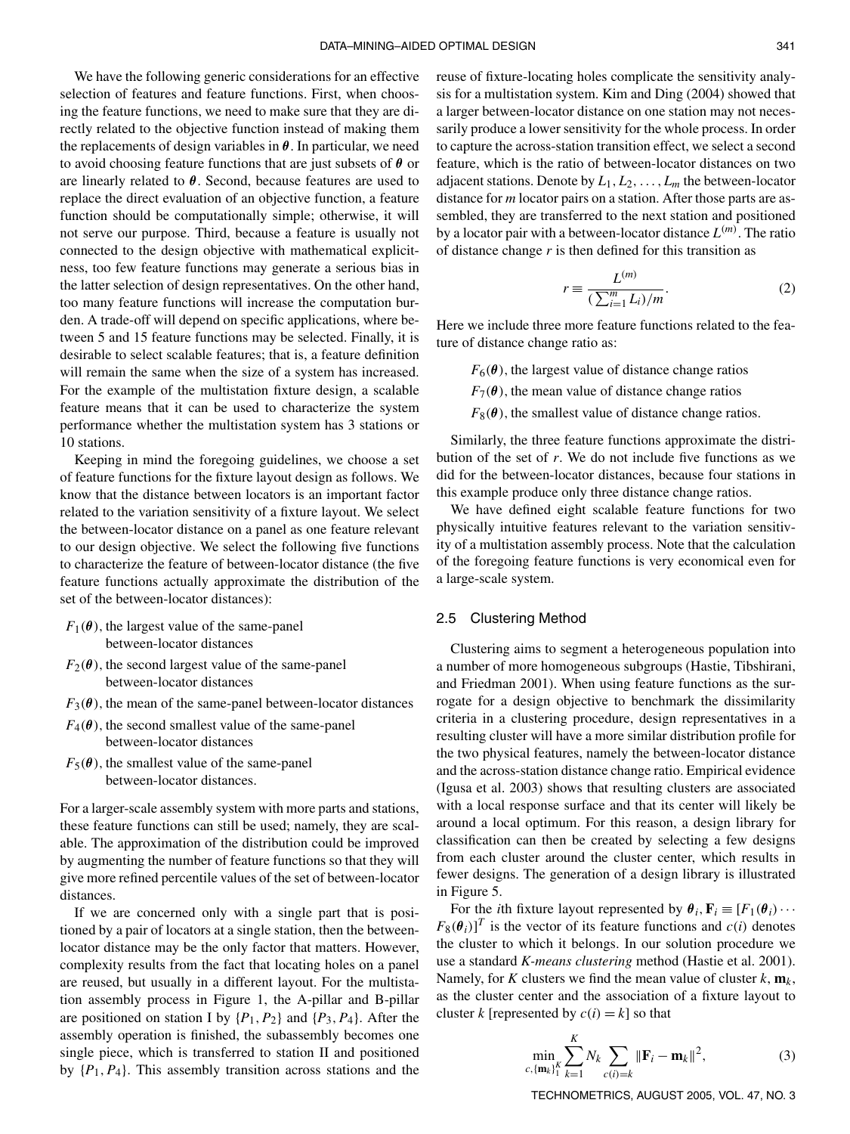We have the following generic considerations for an effective selection of features and feature functions. First, when choosing the feature functions, we need to make sure that they are directly related to the objective function instead of making them the replacements of design variables in  $\theta$ . In particular, we need to avoid choosing feature functions that are just subsets of  $\theta$  or are linearly related to  $\theta$ . Second, because features are used to replace the direct evaluation of an objective function, a feature function should be computationally simple; otherwise, it will not serve our purpose. Third, because a feature is usually not connected to the design objective with mathematical explicitness, too few feature functions may generate a serious bias in the latter selection of design representatives. On the other hand, too many feature functions will increase the computation burden. A trade-off will depend on specific applications, where between 5 and 15 feature functions may be selected. Finally, it is desirable to select scalable features; that is, a feature definition will remain the same when the size of a system has increased. For the example of the multistation fixture design, a scalable feature means that it can be used to characterize the system performance whether the multistation system has 3 stations or 10 stations.

Keeping in mind the foregoing guidelines, we choose a set of feature functions for the fixture layout design as follows. We know that the distance between locators is an important factor related to the variation sensitivity of a fixture layout. We select the between-locator distance on a panel as one feature relevant to our design objective. We select the following five functions to characterize the feature of between-locator distance (the five feature functions actually approximate the distribution of the set of the between-locator distances):

- $F_1(\theta)$ , the largest value of the same-panel between-locator distances
- $F_2(\theta)$ , the second largest value of the same-panel between-locator distances
- $F_3(\theta)$ , the mean of the same-panel between-locator distances
- $F_4(\theta)$ , the second smallest value of the same-panel between-locator distances
- $F_5(\theta)$ , the smallest value of the same-panel between-locator distances.

For a larger-scale assembly system with more parts and stations, these feature functions can still be used; namely, they are scalable. The approximation of the distribution could be improved by augmenting the number of feature functions so that they will give more refined percentile values of the set of between-locator distances.

If we are concerned only with a single part that is positioned by a pair of locators at a single station, then the betweenlocator distance may be the only factor that matters. However, complexity results from the fact that locating holes on a panel are reused, but usually in a different layout. For the multistation assembly process in Figure 1, the A-pillar and B-pillar are positioned on station I by  $\{P_1, P_2\}$  and  $\{P_3, P_4\}$ . After the assembly operation is finished, the subassembly becomes one single piece, which is transferred to station II and positioned by  $\{P_1, P_4\}$ . This assembly transition across stations and the reuse of fixture-locating holes complicate the sensitivity analysis for a multistation system. Kim and Ding (2004) showed that a larger between-locator distance on one station may not necessarily produce a lower sensitivity for the whole process. In order to capture the across-station transition effect, we select a second feature, which is the ratio of between-locator distances on two adjacent stations. Denote by  $L_1, L_2, \ldots, L_m$  the between-locator distance for  $m$  locator pairs on a station. After those parts are assembled, they are transferred to the next station and positioned by a locator pair with a between-locator distance  $L^{(m)}$ . The ratio of distance change  $r$  is then defined for this transition as

$$
\equiv \frac{L^{(m)}}{\left(\sum_{i=1}^{m} L_i\right)/m}.\tag{2}
$$

Here we include three more feature functions related to the feature of distance change ratio as:

 $\mathbf{r}$ 

 $F_6(\theta)$ , the largest value of distance change ratios  $F_7(\theta)$ , the mean value of distance change ratios  $F_8(\theta)$ , the smallest value of distance change ratios.

Similarly, the three feature functions approximate the distribution of the set of  $r$ . We do not include five functions as we did for the between-locator distances, because four stations in this example produce only three distance change ratios.

We have defined eight scalable feature functions for two physically intuitive features relevant to the variation sensitivity of a multistation assembly process. Note that the calculation of the foregoing feature functions is very economical even for a large-scale system.

#### 2.5 **Clustering Method**

Clustering aims to segment a heterogeneous population into a number of more homogeneous subgroups (Hastie, Tibshirani, and Friedman 2001). When using feature functions as the surrogate for a design objective to benchmark the dissimilarity criteria in a clustering procedure, design representatives in a resulting cluster will have a more similar distribution profile for the two physical features, namely the between-locator distance and the across-station distance change ratio. Empirical evidence (Igusa et al. 2003) shows that resulting clusters are associated with a local response surface and that its center will likely be around a local optimum. For this reason, a design library for classification can then be created by selecting a few designs from each cluster around the cluster center, which results in fewer designs. The generation of a design library is illustrated in Figure 5.

For the *i*th fixture layout represented by  $\theta_i$ ,  $\mathbf{F}_i \equiv [F_1(\theta_i) \cdots]$  $F_8(\theta_i)$ <sup>T</sup> is the vector of its feature functions and  $c(i)$  denotes the cluster to which it belongs. In our solution procedure we use a standard *K-means clustering* method (Hastie et al. 2001). Namely, for K clusters we find the mean value of cluster  $k$ ,  $m_k$ , as the cluster center and the association of a fixture layout to cluster k [represented by  $c(i) = k$ ] so that

$$
\min_{c, \{\mathbf{m}_k\}_{1}^{K}} \sum_{k=1}^{K} N_k \sum_{c(i)=k} \|\mathbf{F}_i - \mathbf{m}_k\|^2, \tag{3}
$$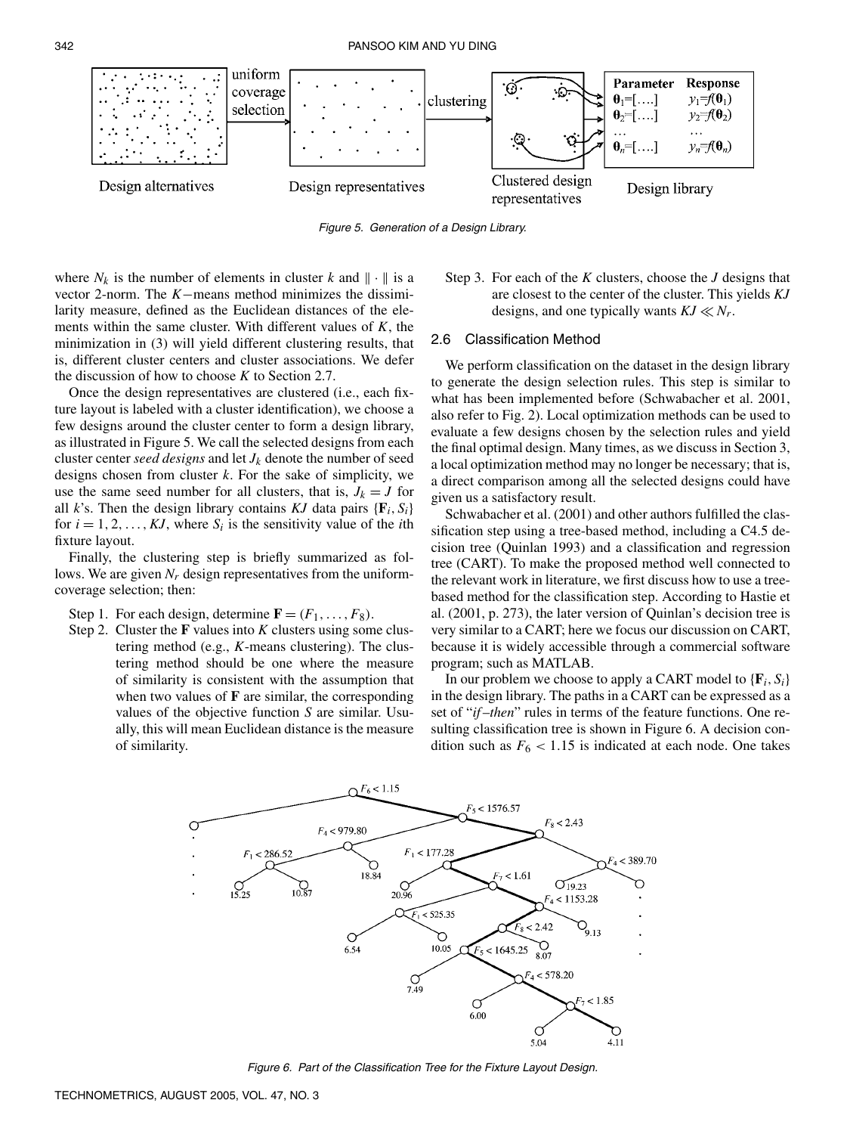

Figure 5. Generation of a Design Library.

where  $N_k$  is the number of elements in cluster k and  $\|\cdot\|$  is a vector 2-norm. The  $K$ -means method minimizes the dissimilarity measure, defined as the Euclidean distances of the elements within the same cluster. With different values of  $K$ , the minimization in (3) will yield different clustering results, that is, different cluster centers and cluster associations. We defer the discussion of how to choose  $K$  to Section 2.7.

Once the design representatives are clustered (i.e., each fixture layout is labeled with a cluster identification), we choose a few designs around the cluster center to form a design library, as illustrated in Figure 5. We call the selected designs from each cluster center *seed designs* and let  $J_k$  denote the number of seed designs chosen from cluster  $k$ . For the sake of simplicity, we use the same seed number for all clusters, that is,  $J_k = J$  for all k's. Then the design library contains KJ data pairs  $\{F_i, S_i\}$ for  $i = 1, 2, ..., KJ$ , where  $S_i$  is the sensitivity value of the *i*th fixture layout.

Finally, the clustering step is briefly summarized as follows. We are given  $N_r$  design representatives from the uniformcoverage selection; then:

Step 1. For each design, determine  $\mathbf{F} = (F_1, \ldots, F_8)$ .

Step 2. Cluster the  $\bf{F}$  values into  $\bf{K}$  clusters using some clustering method (e.g.,  $K$ -means clustering). The clustering method should be one where the measure of similarity is consistent with the assumption that when two values of  $F$  are similar, the corresponding values of the objective function  $S$  are similar. Usually, this will mean Euclidean distance is the measure of similarity.

Step 3. For each of the K clusters, choose the J designs that are closest to the center of the cluster. This yields KJ designs, and one typically wants  $KJ \ll N_r$ .

#### $2.6$ **Classification Method**

We perform classification on the dataset in the design library to generate the design selection rules. This step is similar to what has been implemented before (Schwabacher et al. 2001, also refer to Fig. 2). Local optimization methods can be used to evaluate a few designs chosen by the selection rules and yield the final optimal design. Many times, as we discuss in Section 3, a local optimization method may no longer be necessary; that is, a direct comparison among all the selected designs could have given us a satisfactory result.

Schwabacher et al. (2001) and other authors fulfilled the classification step using a tree-based method, including a C4.5 decision tree (Quinlan 1993) and a classification and regression tree (CART). To make the proposed method well connected to the relevant work in literature, we first discuss how to use a treebased method for the classification step. According to Hastie et al. (2001, p. 273), the later version of Quinlan's decision tree is very similar to a CART; here we focus our discussion on CART, because it is widely accessible through a commercial software program; such as MATLAB.

In our problem we choose to apply a CART model to  $\{F_i, S_i\}$ in the design library. The paths in a CART can be expressed as a set of "if-then" rules in terms of the feature functions. One resulting classification tree is shown in Figure 6. A decision condition such as  $F_6$  < 1.15 is indicated at each node. One takes



Figure 6. Part of the Classification Tree for the Fixture Layout Design.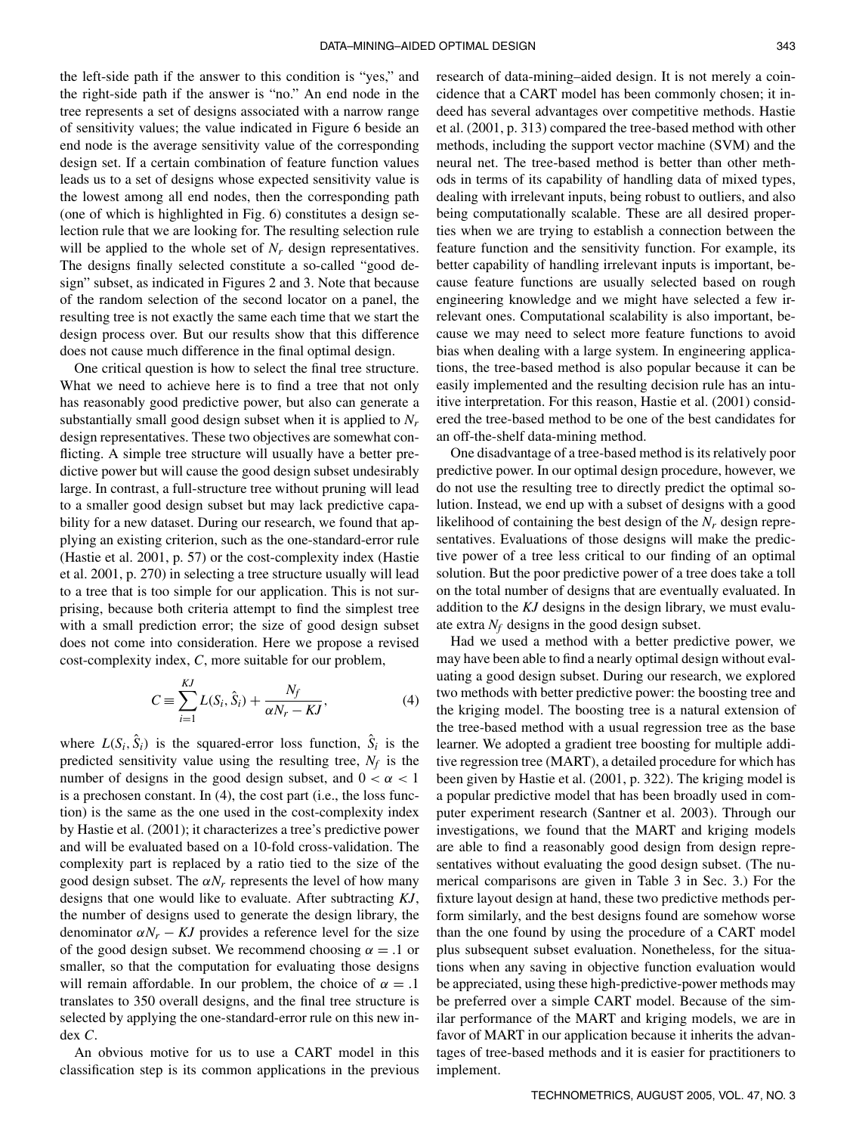the left-side path if the answer to this condition is "yes," and the right-side path if the answer is "no." An end node in the tree represents a set of designs associated with a narrow range of sensitivity values; the value indicated in Figure 6 beside an end node is the average sensitivity value of the corresponding design set. If a certain combination of feature function values leads us to a set of designs whose expected sensitivity value is the lowest among all end nodes, then the corresponding path (one of which is highlighted in Fig. 6) constitutes a design selection rule that we are looking for. The resulting selection rule will be applied to the whole set of  $N_r$  design representatives. The designs finally selected constitute a so-called "good design" subset, as indicated in Figures 2 and 3. Note that because of the random selection of the second locator on a panel, the resulting tree is not exactly the same each time that we start the design process over. But our results show that this difference does not cause much difference in the final optimal design.

One critical question is how to select the final tree structure. What we need to achieve here is to find a tree that not only has reasonably good predictive power, but also can generate a substantially small good design subset when it is applied to  $N_r$ design representatives. These two objectives are somewhat conflicting. A simple tree structure will usually have a better predictive power but will cause the good design subset undesirably large. In contrast, a full-structure tree without pruning will lead to a smaller good design subset but may lack predictive capability for a new dataset. During our research, we found that applying an existing criterion, such as the one-standard-error rule (Hastie et al. 2001, p. 57) or the cost-complexity index (Hastie et al. 2001, p. 270) in selecting a tree structure usually will lead to a tree that is too simple for our application. This is not surprising, because both criteria attempt to find the simplest tree with a small prediction error; the size of good design subset does not come into consideration. Here we propose a revised  $cost$ -complexity index,  $C$ , more suitable for our problem,

$$
C \equiv \sum_{i=1}^{KJ} L(S_i, \hat{S}_i) + \frac{N_f}{\alpha N_r - KJ},
$$
\n(4)

where  $L(S_i, \hat{S}_i)$  is the squared-error loss function,  $\hat{S}_i$  is the predicted sensitivity value using the resulting tree,  $N_f$  is the number of designs in the good design subset, and  $0 < \alpha < 1$ is a prechosen constant. In  $(4)$ , the cost part (i.e., the loss function) is the same as the one used in the cost-complexity index by Hastie et al. (2001); it characterizes a tree's predictive power and will be evaluated based on a 10-fold cross-validation. The complexity part is replaced by a ratio tied to the size of the good design subset. The  $\alpha N_r$  represents the level of how many designs that one would like to evaluate. After subtracting  $KJ$ , the number of designs used to generate the design library, the denominator  $\alpha N_r - KJ$  provides a reference level for the size of the good design subset. We recommend choosing  $\alpha = .1$  or smaller, so that the computation for evaluating those designs will remain affordable. In our problem, the choice of  $\alpha = .1$ translates to 350 overall designs, and the final tree structure is selected by applying the one-standard-error rule on this new in $dex$   $C$ .

An obvious motive for us to use a CART model in this classification step is its common applications in the previous

research of data-mining-aided design. It is not merely a coincidence that a CART model has been commonly chosen; it indeed has several advantages over competitive methods. Hastie et al. (2001, p. 313) compared the tree-based method with other methods, including the support vector machine (SVM) and the neural net. The tree-based method is better than other methods in terms of its capability of handling data of mixed types, dealing with irrelevant inputs, being robust to outliers, and also being computationally scalable. These are all desired properties when we are trying to establish a connection between the feature function and the sensitivity function. For example, its better capability of handling irrelevant inputs is important, because feature functions are usually selected based on rough engineering knowledge and we might have selected a few irrelevant ones. Computational scalability is also important, because we may need to select more feature functions to avoid bias when dealing with a large system. In engineering applications, the tree-based method is also popular because it can be easily implemented and the resulting decision rule has an intuitive interpretation. For this reason, Hastie et al. (2001) considered the tree-based method to be one of the best candidates for an off-the-shelf data-mining method.

One disadvantage of a tree-based method is its relatively poor predictive power. In our optimal design procedure, however, we do not use the resulting tree to directly predict the optimal solution. Instead, we end up with a subset of designs with a good likelihood of containing the best design of the  $N_r$  design representatives. Evaluations of those designs will make the predictive power of a tree less critical to our finding of an optimal solution. But the poor predictive power of a tree does take a toll on the total number of designs that are eventually evaluated. In addition to the  $KJ$  designs in the design library, we must evaluate extra  $N_f$  designs in the good design subset.

Had we used a method with a better predictive power, we may have been able to find a nearly optimal design without evaluating a good design subset. During our research, we explored two methods with better predictive power: the boosting tree and the kriging model. The boosting tree is a natural extension of the tree-based method with a usual regression tree as the base learner. We adopted a gradient tree boosting for multiple additive regression tree (MART), a detailed procedure for which has been given by Hastie et al. (2001, p. 322). The kriging model is a popular predictive model that has been broadly used in computer experiment research (Santner et al. 2003). Through our investigations, we found that the MART and kriging models are able to find a reasonably good design from design representatives without evaluating the good design subset. (The numerical comparisons are given in Table 3 in Sec. 3.) For the fixture layout design at hand, these two predictive methods perform similarly, and the best designs found are somehow worse than the one found by using the procedure of a CART model plus subsequent subset evaluation. Nonetheless, for the situations when any saving in objective function evaluation would be appreciated, using these high-predictive-power methods may be preferred over a simple CART model. Because of the similar performance of the MART and kriging models, we are in favor of MART in our application because it inherits the advantages of tree-based methods and it is easier for practitioners to implement.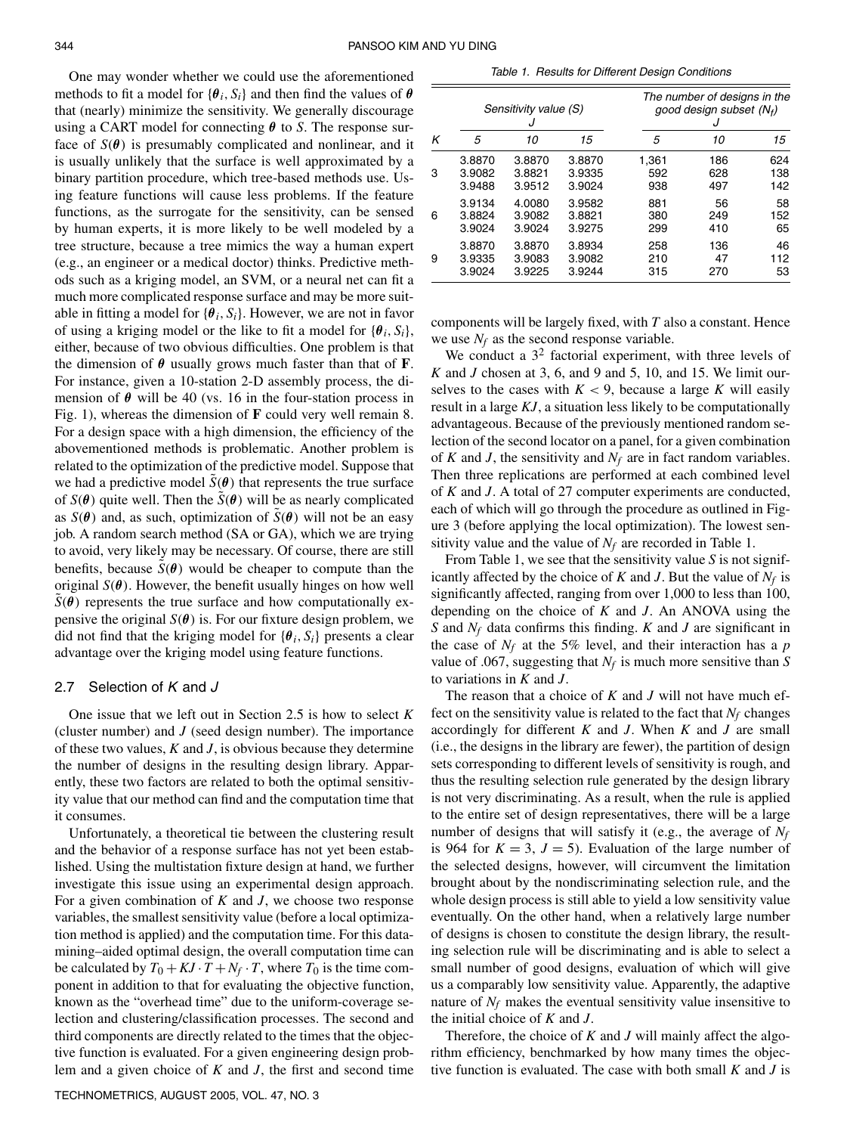Table 1. Results for Different Design Conditions

One may wonder whether we could use the aforementioned methods to fit a model for  $\{\theta_i, S_i\}$  and then find the values of  $\theta$ that (nearly) minimize the sensitivity. We generally discourage using a CART model for connecting  $\theta$  to S. The response surface of  $S(\theta)$  is presumably complicated and nonlinear, and it is usually unlikely that the surface is well approximated by a binary partition procedure, which tree-based methods use. Using feature functions will cause less problems. If the feature functions, as the surrogate for the sensitivity, can be sensed by human experts, it is more likely to be well modeled by a tree structure, because a tree mimics the way a human expert (e.g., an engineer or a medical doctor) thinks. Predictive methods such as a kriging model, an SVM, or a neural net can fit a much more complicated response surface and may be more suitable in fitting a model for  $\{\theta_i, S_i\}$ . However, we are not in favor of using a kriging model or the like to fit a model for  $\{\theta_i, S_i\}$ , either, because of two obvious difficulties. One problem is that the dimension of  $\theta$  usually grows much faster than that of **F**. For instance, given a 10-station 2-D assembly process, the dimension of  $\theta$  will be 40 (vs. 16 in the four-station process in Fig. 1), whereas the dimension of  $\bf{F}$  could very well remain 8. For a design space with a high dimension, the efficiency of the abovementioned methods is problematic. Another problem is related to the optimization of the predictive model. Suppose that we had a predictive model  $\tilde{S}(\theta)$  that represents the true surface of  $S(\theta)$  quite well. Then the  $\tilde{S}(\theta)$  will be as nearly complicated as  $S(\theta)$  and, as such, optimization of  $S(\theta)$  will not be an easy job. A random search method (SA or GA), which we are trying to avoid, very likely may be necessary. Of course, there are still benefits, because  $\tilde{S}(\theta)$  would be cheaper to compute than the original  $S(\theta)$ . However, the benefit usually hinges on how well  $S(\theta)$  represents the true surface and how computationally expensive the original  $S(\theta)$  is. For our fixture design problem, we did not find that the kriging model for  $\{\theta_i, S_i\}$  presents a clear advantage over the kriging model using feature functions.

#### $2.7$ Selection of K and J

One issue that we left out in Section 2.5 is how to select  $K$ (cluster number) and  $J$  (seed design number). The importance of these two values,  $K$  and  $J$ , is obvious because they determine the number of designs in the resulting design library. Apparently, these two factors are related to both the optimal sensitivity value that our method can find and the computation time that it consumes.

Unfortunately, a theoretical tie between the clustering result and the behavior of a response surface has not yet been established. Using the multistation fixture design at hand, we further investigate this issue using an experimental design approach. For a given combination of K and J, we choose two response variables, the smallest sensitivity value (before a local optimization method is applied) and the computation time. For this datamining-aided optimal design, the overall computation time can be calculated by  $T_0 + KJ \cdot T + N_f \cdot T$ , where  $T_0$  is the time component in addition to that for evaluating the objective function, known as the "overhead time" due to the uniform-coverage selection and clustering/classification processes. The second and third components are directly related to the times that the objective function is evaluated. For a given engineering design problem and a given choice of  $K$  and  $J$ , the first and second time

|   | Sensitivity value (S) |        |        | The number of designs in the<br>good design subset $(N_t)$ |     |     |
|---|-----------------------|--------|--------|------------------------------------------------------------|-----|-----|
| K | 5                     | 10     | 15     | 5                                                          | 10  | 15  |
| 3 | 3.8870                | 3.8870 | 3.8870 | 1.361                                                      | 186 | 624 |
|   | 3.9082                | 3.8821 | 3.9335 | 592                                                        | 628 | 138 |
|   | 3.9488                | 3.9512 | 3.9024 | 938                                                        | 497 | 142 |
| 6 | 3.9134                | 4.0080 | 3.9582 | 881                                                        | 56  | 58  |
|   | 3.8824                | 3.9082 | 3.8821 | 380                                                        | 249 | 152 |
|   | 3.9024                | 3.9024 | 3.9275 | 299                                                        | 410 | 65  |
| 9 | 3.8870                | 3.8870 | 3.8934 | 258                                                        | 136 | 46  |
|   | 3.9335                | 3.9083 | 3.9082 | 210                                                        | 47  | 112 |
|   | 3.9024                | 3.9225 | 3.9244 | 315                                                        | 270 | 53  |

components will be largely fixed, with  $T$  also a constant. Hence we use  $N_f$  as the second response variable.

We conduct a  $3<sup>2</sup>$  factorial experiment, with three levels of  $K$  and  $J$  chosen at 3, 6, and 9 and 5, 10, and 15. We limit ourselves to the cases with  $K < 9$ , because a large K will easily result in a large  $KJ$ , a situation less likely to be computationally advantageous. Because of the previously mentioned random selection of the second locator on a panel, for a given combination of K and J, the sensitivity and  $N_f$  are in fact random variables. Then three replications are performed at each combined level of  $K$  and  $J$ . A total of 27 computer experiments are conducted, each of which will go through the procedure as outlined in Figure 3 (before applying the local optimization). The lowest sensitivity value and the value of  $N_f$  are recorded in Table 1.

From Table 1, we see that the sensitivity value  $S$  is not significantly affected by the choice of K and J. But the value of  $N_f$  is significantly affected, ranging from over 1,000 to less than 100, depending on the choice of  $K$  and  $J$ . An ANOVA using the S and  $N_f$  data confirms this finding. K and J are significant in the case of  $N_f$  at the 5% level, and their interaction has a p value of .067, suggesting that  $N_f$  is much more sensitive than S to variations in  $K$  and  $J$ .

The reason that a choice of  $K$  and  $J$  will not have much effect on the sensitivity value is related to the fact that  $N_f$  changes accordingly for different  $K$  and  $J$ . When  $K$  and  $J$  are small (i.e., the designs in the library are fewer), the partition of design sets corresponding to different levels of sensitivity is rough, and thus the resulting selection rule generated by the design library is not very discriminating. As a result, when the rule is applied to the entire set of design representatives, there will be a large number of designs that will satisfy it (e.g., the average of  $N_f$ is 964 for  $K = 3$ ,  $J = 5$ ). Evaluation of the large number of the selected designs, however, will circumvent the limitation brought about by the nondiscriminating selection rule, and the whole design process is still able to yield a low sensitivity value eventually. On the other hand, when a relatively large number of designs is chosen to constitute the design library, the resulting selection rule will be discriminating and is able to select a small number of good designs, evaluation of which will give us a comparably low sensitivity value. Apparently, the adaptive nature of  $N_f$  makes the eventual sensitivity value insensitive to the initial choice of  $K$  and  $J$ .

Therefore, the choice of  $K$  and  $J$  will mainly affect the algorithm efficiency, benchmarked by how many times the objective function is evaluated. The case with both small  $K$  and  $J$  is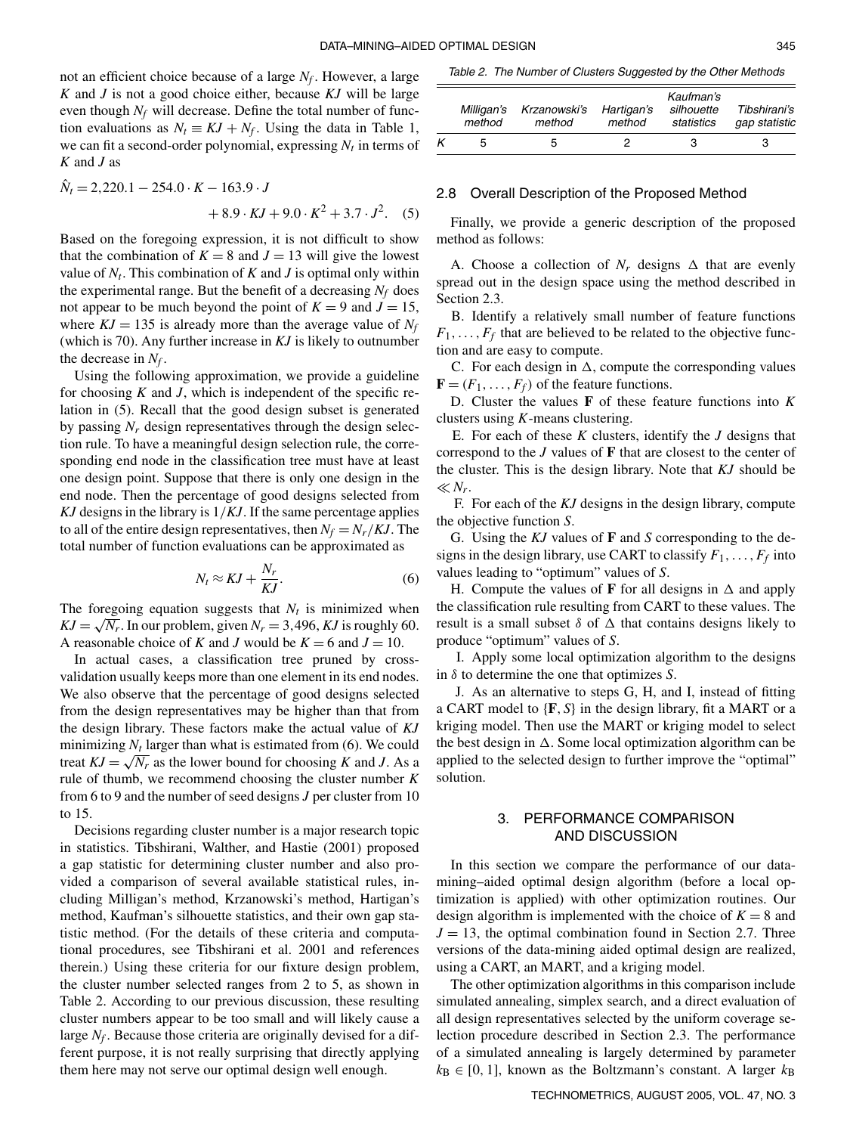not an efficient choice because of a large  $N_f$ . However, a large  $K$  and  $J$  is not a good choice either, because  $KJ$  will be large even though  $N_f$  will decrease. Define the total number of function evaluations as  $N_t = KJ + N_f$ . Using the data in Table 1, we can fit a second-order polynomial, expressing  $N_t$  in terms of  $K$  and  $J$  as

$$
\hat{N}_t = 2,220.1 - 254.0 \cdot K - 163.9 \cdot J + 8.9 \cdot KJ + 9.0 \cdot K^2 + 3.7 \cdot J^2.
$$
 (5)

Based on the foregoing expression, it is not difficult to show that the combination of  $K = 8$  and  $J = 13$  will give the lowest value of  $N_t$ . This combination of K and J is optimal only within the experimental range. But the benefit of a decreasing  $N_f$  does not appear to be much beyond the point of  $K = 9$  and  $J = 15$ , where  $KJ = 135$  is already more than the average value of  $N_f$ (which is 70). Any further increase in  $KJ$  is likely to outnumber the decrease in  $N_f$ .

Using the following approximation, we provide a guideline for choosing  $K$  and  $J$ , which is independent of the specific relation in (5). Recall that the good design subset is generated by passing  $N_r$  design representatives through the design selection rule. To have a meaningful design selection rule, the corresponding end node in the classification tree must have at least one design point. Suppose that there is only one design in the end node. Then the percentage of good designs selected from  $KJ$  designs in the library is  $1/KJ$ . If the same percentage applies to all of the entire design representatives, then  $N_f = N_r/KJ$ . The total number of function evaluations can be approximated as

$$
N_t \approx KJ + \frac{N_r}{KJ}.\tag{6}
$$

The foregoing equation suggests that  $N_t$  is minimized when  $KJ = \sqrt{N_r}$ . In our problem, given  $N_r = 3,496$ , KJ is roughly 60. A reasonable choice of K and J would be  $K = 6$  and  $J = 10$ .

In actual cases, a classification tree pruned by crossvalidation usually keeps more than one element in its end nodes. We also observe that the percentage of good designs selected from the design representatives may be higher than that from the design library. These factors make the actual value of KJ minimizing  $N_t$  larger than what is estimated from (6). We could treat  $KJ = \sqrt{N_r}$  as the lower bound for choosing K and J. As a rule of thumb, we recommend choosing the cluster number  $K$ from 6 to 9 and the number of seed designs  $J$  per cluster from 10 to 15.

Decisions regarding cluster number is a major research topic in statistics. Tibshirani, Walther, and Hastie (2001) proposed a gap statistic for determining cluster number and also provided a comparison of several available statistical rules, including Milligan's method, Krzanowski's method, Hartigan's method, Kaufman's silhouette statistics, and their own gap statistic method. (For the details of these criteria and computational procedures, see Tibshirani et al. 2001 and references therein.) Using these criteria for our fixture design problem, the cluster number selected ranges from 2 to 5, as shown in Table 2. According to our previous discussion, these resulting cluster numbers appear to be too small and will likely cause a large  $N_f$ . Because those criteria are originally devised for a different purpose, it is not really surprising that directly applying them here may not serve our optimal design well enough.

Table 2. The Number of Clusters Suggested by the Other Methods

| Milligan's<br>method | Krzanowski's<br>method | Hartigan's<br>method | Kaufman's<br>silhouette<br>statistics | Tibshirani's<br>gap statistic |
|----------------------|------------------------|----------------------|---------------------------------------|-------------------------------|
|                      | 5                      |                      | з                                     | 3                             |

## 2.8 Overall Description of the Proposed Method

Finally, we provide a generic description of the proposed method as follows:

A. Choose a collection of  $N_r$  designs  $\Delta$  that are evenly spread out in the design space using the method described in Section 2.3.

B. Identify a relatively small number of feature functions  $F_1, \ldots, F_f$  that are believed to be related to the objective function and are easy to compute.

C. For each design in  $\Delta$ , compute the corresponding values  $\mathbf{F} = (F_1, \ldots, F_f)$  of the feature functions.

D. Cluster the values  $F$  of these feature functions into  $K$ clusters using  $K$ -means clustering.

E. For each of these  $K$  clusters, identify the  $J$  designs that correspond to the  $J$  values of  $\bf{F}$  that are closest to the center of the cluster. This is the design library. Note that KJ should be  $\ll N_r$ .

F. For each of the KJ designs in the design library, compute the objective function S.

G. Using the  $KJ$  values of  $\bf{F}$  and  $S$  corresponding to the designs in the design library, use CART to classify  $F_1, \ldots, F_f$  into values leading to "optimum" values of S.

H. Compute the values of **F** for all designs in  $\Delta$  and apply the classification rule resulting from CART to these values. The result is a small subset  $\delta$  of  $\Delta$  that contains designs likely to produce "optimum" values of S.

I. Apply some local optimization algorithm to the designs in  $\delta$  to determine the one that optimizes S.

J. As an alternative to steps G, H, and I, instead of fitting a CART model to  $\{F, S\}$  in the design library, fit a MART or a kriging model. Then use the MART or kriging model to select the best design in  $\Delta$ . Some local optimization algorithm can be applied to the selected design to further improve the "optimal" solution.

### PERFORMANCE COMPARISON 3. **AND DISCUSSION**

In this section we compare the performance of our datamining-aided optimal design algorithm (before a local optimization is applied) with other optimization routines. Our design algorithm is implemented with the choice of  $K = 8$  and  $J = 13$ , the optimal combination found in Section 2.7. Three versions of the data-mining aided optimal design are realized, using a CART, an MART, and a kriging model.

The other optimization algorithms in this comparison include simulated annealing, simplex search, and a direct evaluation of all design representatives selected by the uniform coverage selection procedure described in Section 2.3. The performance of a simulated annealing is largely determined by parameter  $k_{\rm B} \in [0, 1]$ , known as the Boltzmann's constant. A larger  $k_{\rm B}$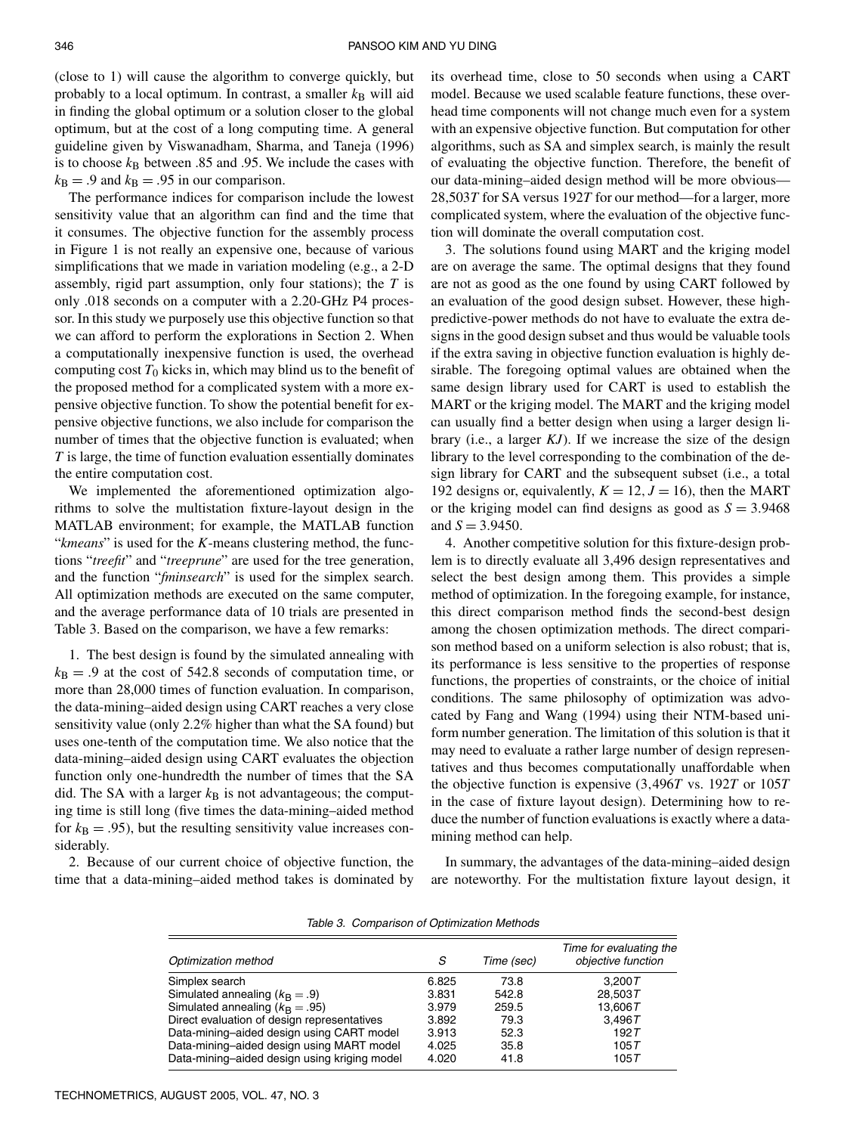(close to 1) will cause the algorithm to converge quickly, but probably to a local optimum. In contrast, a smaller  $k_B$  will aid in finding the global optimum or a solution closer to the global optimum, but at the cost of a long computing time. A general guideline given by Viswanadham, Sharma, and Taneja (1996) is to choose  $k_B$  between .85 and .95. We include the cases with  $k_{\text{B}} = .9$  and  $k_{\text{B}} = .95$  in our comparison.

The performance indices for comparison include the lowest sensitivity value that an algorithm can find and the time that it consumes. The objective function for the assembly process in Figure 1 is not really an expensive one, because of various simplifications that we made in variation modeling (e.g., a 2-D assembly, rigid part assumption, only four stations); the  $T$  is only .018 seconds on a computer with a 2.20-GHz P4 processor. In this study we purposely use this objective function so that we can afford to perform the explorations in Section 2. When a computationally inexpensive function is used, the overhead computing cost  $T_0$  kicks in, which may blind us to the benefit of the proposed method for a complicated system with a more expensive objective function. To show the potential benefit for expensive objective functions, we also include for comparison the number of times that the objective function is evaluated; when  $T$  is large, the time of function evaluation essentially dominates the entire computation cost.

We implemented the aforementioned optimization algorithms to solve the multistation fixture-layout design in the MATLAB environment; for example, the MATLAB function "kmeans" is used for the K-means clustering method, the functions "treefit" and "treeprune" are used for the tree generation, and the function "fminsearch" is used for the simplex search. All optimization methods are executed on the same computer, and the average performance data of 10 trials are presented in Table 3. Based on the comparison, we have a few remarks:

1. The best design is found by the simulated annealing with  $k_B = .9$  at the cost of 542.8 seconds of computation time, or more than 28,000 times of function evaluation. In comparison, the data-mining-aided design using CART reaches a very close sensitivity value (only 2.2% higher than what the SA found) but uses one-tenth of the computation time. We also notice that the data-mining-aided design using CART evaluates the objection function only one-hundredth the number of times that the SA did. The SA with a larger  $k_B$  is not advantageous; the computing time is still long (five times the data-mining-aided method for  $k_B = .95$ ), but the resulting sensitivity value increases considerably.

2. Because of our current choice of objective function, the time that a data-mining-aided method takes is dominated by its overhead time, close to 50 seconds when using a CART model. Because we used scalable feature functions, these overhead time components will not change much even for a system with an expensive objective function. But computation for other algorithms, such as SA and simplex search, is mainly the result of evaluating the objective function. Therefore, the benefit of our data-mining-aided design method will be more obvious— 28,503T for SA versus 192T for our method—for a larger, more complicated system, where the evaluation of the objective function will dominate the overall computation cost.

3. The solutions found using MART and the kriging model are on average the same. The optimal designs that they found are not as good as the one found by using CART followed by an evaluation of the good design subset. However, these highpredictive-power methods do not have to evaluate the extra designs in the good design subset and thus would be valuable tools if the extra saving in objective function evaluation is highly desirable. The foregoing optimal values are obtained when the same design library used for CART is used to establish the MART or the kriging model. The MART and the kriging model can usually find a better design when using a larger design library (i.e., a larger  $KJ$ ). If we increase the size of the design library to the level corresponding to the combination of the design library for CART and the subsequent subset (i.e., a total 192 designs or, equivalently,  $K = 12, J = 16$ ), then the MART or the kriging model can find designs as good as  $S = 3.9468$ and  $S = 3.9450$ .

4. Another competitive solution for this fixture-design problem is to directly evaluate all 3,496 design representatives and select the best design among them. This provides a simple method of optimization. In the foregoing example, for instance, this direct comparison method finds the second-best design among the chosen optimization methods. The direct comparison method based on a uniform selection is also robust; that is, its performance is less sensitive to the properties of response functions, the properties of constraints, or the choice of initial conditions. The same philosophy of optimization was advocated by Fang and Wang (1994) using their NTM-based uniform number generation. The limitation of this solution is that it may need to evaluate a rather large number of design representatives and thus becomes computationally unaffordable when the objective function is expensive  $(3,496T \text{ vs. } 192T \text{ or } 105T)$ in the case of fixture layout design). Determining how to reduce the number of function evaluations is exactly where a datamining method can help.

In summary, the advantages of the data-mining-aided design are noteworthy. For the multistation fixture layout design, it

|  |  |  | Table 3.  Comparison of Optimization Methods |
|--|--|--|----------------------------------------------|
|--|--|--|----------------------------------------------|

| Optimization method                          | S     | Time (sec) | Time for evaluating the<br>objective function |
|----------------------------------------------|-------|------------|-----------------------------------------------|
| Simplex search                               | 6.825 | 73.8       | 3.200 $T$                                     |
| Simulated annealing $(k_B = .9)$             | 3.831 | 542.8      | 28,503T                                       |
| Simulated annealing ( $k_B = .95$ )          | 3.979 | 259.5      | 13,606T                                       |
| Direct evaluation of design representatives  | 3.892 | 79.3       | 3.496T                                        |
| Data-mining-aided design using CART model    | 3.913 | 52.3       | 192T                                          |
| Data-mining-aided design using MART model    | 4.025 | 35.8       | 105T                                          |
| Data-mining-aided design using kriging model | 4.020 | 41.8       | 105T                                          |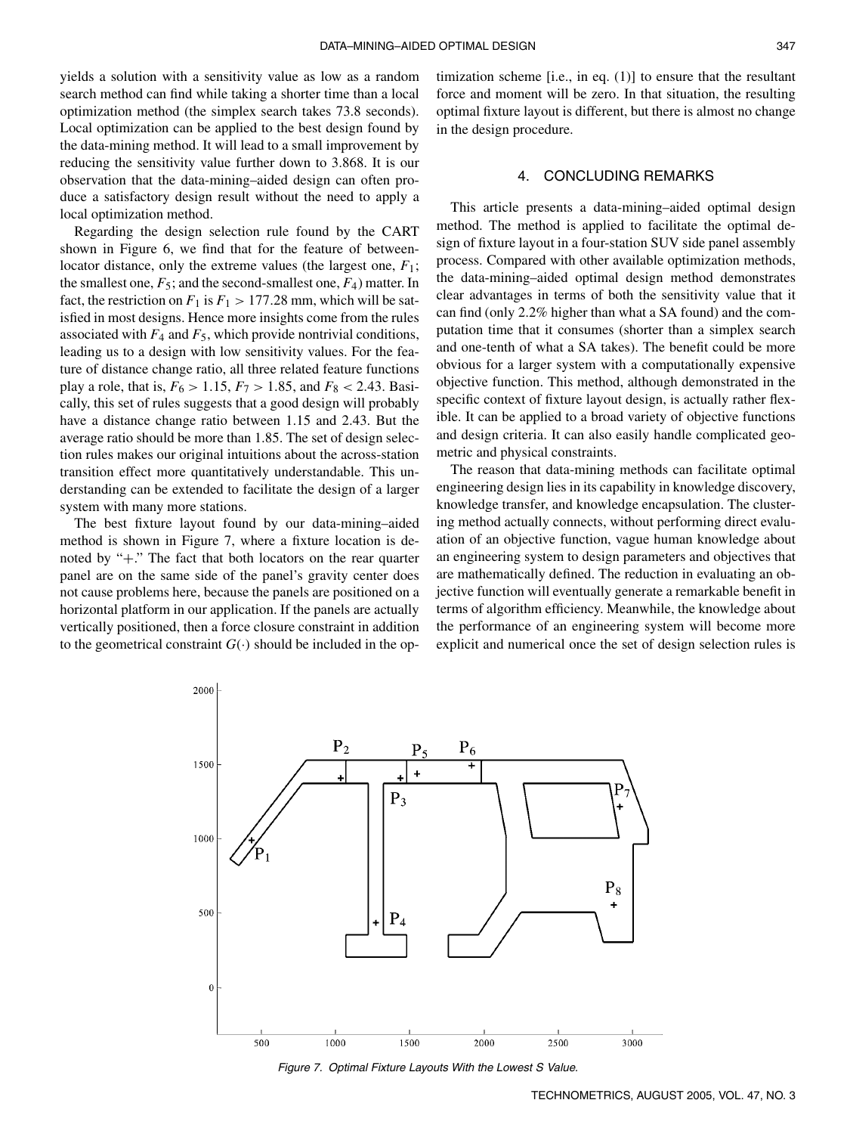yields a solution with a sensitivity value as low as a random search method can find while taking a shorter time than a local optimization method (the simplex search takes 73.8 seconds). Local optimization can be applied to the best design found by the data-mining method. It will lead to a small improvement by reducing the sensitivity value further down to 3.868. It is our observation that the data-mining-aided design can often produce a satisfactory design result without the need to apply a local optimization method.

Regarding the design selection rule found by the CART shown in Figure 6, we find that for the feature of betweenlocator distance, only the extreme values (the largest one,  $F_1$ ; the smallest one,  $F_5$ ; and the second-smallest one,  $F_4$ ) matter. In fact, the restriction on  $F_1$  is  $F_1 > 177.28$  mm, which will be satisfied in most designs. Hence more insights come from the rules associated with  $F_4$  and  $F_5$ , which provide nontrivial conditions, leading us to a design with low sensitivity values. For the feature of distance change ratio, all three related feature functions play a role, that is,  $F_6 > 1.15$ ,  $F_7 > 1.85$ , and  $F_8 < 2.43$ . Basically, this set of rules suggests that a good design will probably have a distance change ratio between 1.15 and 2.43. But the average ratio should be more than 1.85. The set of design selection rules makes our original intuitions about the across-station transition effect more quantitatively understandable. This understanding can be extended to facilitate the design of a larger system with many more stations.

The best fixture layout found by our data-mining-aided method is shown in Figure 7, where a fixture location is denoted by "+." The fact that both locators on the rear quarter panel are on the same side of the panel's gravity center does not cause problems here, because the panels are positioned on a horizontal platform in our application. If the panels are actually vertically positioned, then a force closure constraint in addition to the geometrical constraint  $G(\cdot)$  should be included in the optimization scheme [i.e., in eq.  $(1)$ ] to ensure that the resultant force and moment will be zero. In that situation, the resulting optimal fixture layout is different, but there is almost no change in the design procedure.

## 4. CONCLUDING REMARKS

This article presents a data-mining-aided optimal design method. The method is applied to facilitate the optimal design of fixture layout in a four-station SUV side panel assembly process. Compared with other available optimization methods, the data-mining-aided optimal design method demonstrates clear advantages in terms of both the sensitivity value that it can find (only 2.2% higher than what a SA found) and the computation time that it consumes (shorter than a simplex search and one-tenth of what a SA takes). The benefit could be more obvious for a larger system with a computationally expensive objective function. This method, although demonstrated in the specific context of fixture layout design, is actually rather flexible. It can be applied to a broad variety of objective functions and design criteria. It can also easily handle complicated geometric and physical constraints.

The reason that data-mining methods can facilitate optimal engineering design lies in its capability in knowledge discovery, knowledge transfer, and knowledge encapsulation. The clustering method actually connects, without performing direct evaluation of an objective function, vague human knowledge about an engineering system to design parameters and objectives that are mathematically defined. The reduction in evaluating an objective function will eventually generate a remarkable benefit in terms of algorithm efficiency. Meanwhile, the knowledge about the performance of an engineering system will become more explicit and numerical once the set of design selection rules is



Figure 7. Optimal Fixture Layouts With the Lowest S Value.